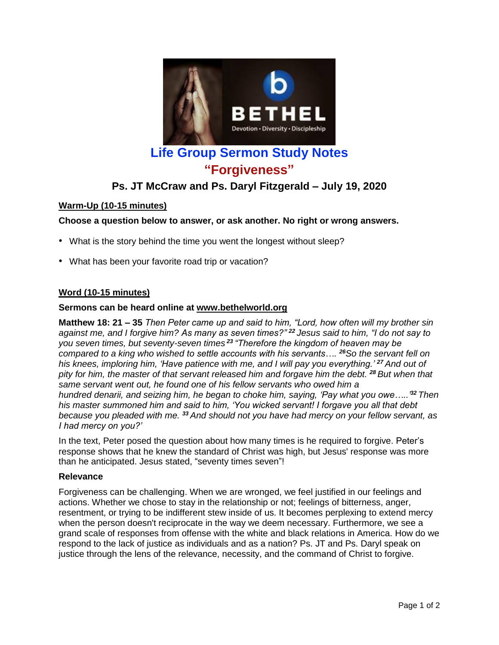

# **Life Group Sermon Study Notes "Forgiveness"**

# **Ps. JT McCraw and Ps. Daryl Fitzgerald – July 19, 2020**

# **Warm-Up (10-15 minutes)**

# **Choose a question below to answer, or ask another. No right or wrong answers.**

- What is the story behind the time you went the longest without sleep?
- What has been your favorite road trip or vacation?

# **Word (10-15 minutes)**

#### **Sermons can be heard online at [www.bethelworld.org](http://www.bethelworld.org/)**

**Matthew 18: 21 – 35** *Then Peter came up and said to him, "Lord, how often will my brother sin against me, and I forgive him? As many as seven times?" <sup>22</sup> Jesus said to him, "I do not say to you seven times, but seventy-seven times <sup>23</sup> "Therefore the kingdom of heaven may be compared to a king who wished to settle accounts with his servants…. <sup>26</sup>So the servant fell on his knees, imploring him, 'Have patience with me, and I will pay you everything.' <sup>27</sup> And out of* pity for him, the master of that servant released him and forgave him the debt. <sup>28</sup> But when that *same servant went out, he found one of his fellow servants who owed him a hundred denarii, and seizing him, he began to choke him, saying, 'Pay what you owe…..'<sup>32</sup> Then his master summoned him and said to him, 'You wicked servant! I forgave you all that debt because you pleaded with me. <sup>33</sup> And should not you have had mercy on your fellow servant, as I had mercy on you?'*

In the text, Peter posed the question about how many times is he required to forgive. Peter's response shows that he knew the standard of Christ was high, but Jesus' response was more than he anticipated. Jesus stated, "seventy times seven"!

#### **Relevance**

Forgiveness can be challenging. When we are wronged, we feel justified in our feelings and actions. Whether we chose to stay in the relationship or not; feelings of bitterness, anger, resentment, or trying to be indifferent stew inside of us. It becomes perplexing to extend mercy when the person doesn't reciprocate in the way we deem necessary. Furthermore, we see a grand scale of responses from offense with the white and black relations in America. How do we respond to the lack of justice as individuals and as a nation? Ps. JT and Ps. Daryl speak on justice through the lens of the relevance, necessity, and the command of Christ to forgive.